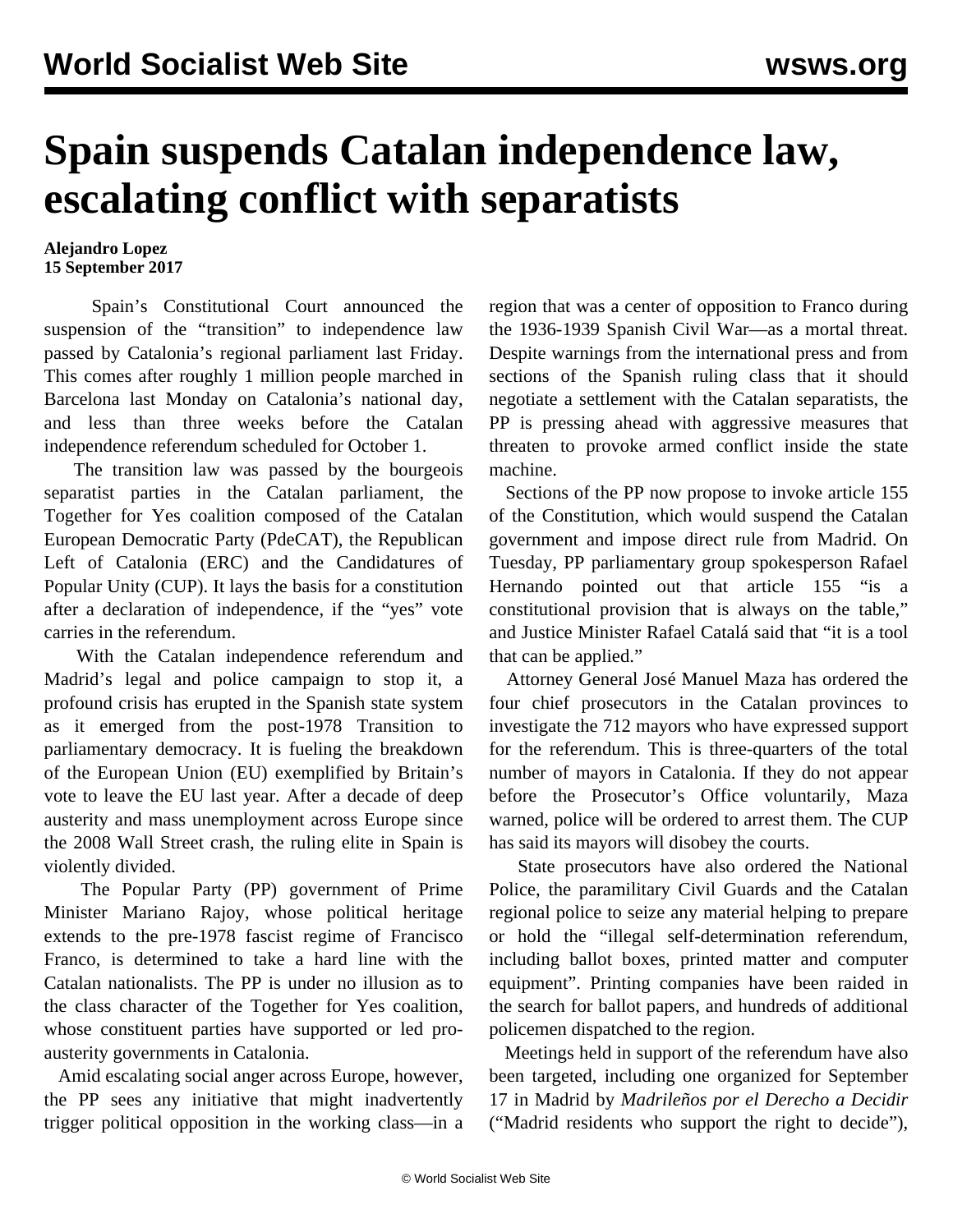## **Spain suspends Catalan independence law, escalating conflict with separatists**

## **Alejandro Lopez 15 September 2017**

 Spain's Constitutional Court announced the suspension of the "transition" to independence law passed by Catalonia's regional parliament last Friday. This comes after roughly 1 million people marched in Barcelona last Monday on Catalonia's national day, and less than three weeks before the Catalan independence referendum scheduled for October 1.

 The transition law was passed by the bourgeois separatist parties in the Catalan parliament, the Together for Yes coalition composed of the Catalan European Democratic Party (PdeCAT), the Republican Left of Catalonia (ERC) and the Candidatures of Popular Unity (CUP). It lays the basis for a constitution after a declaration of independence, if the "yes" vote carries in the referendum.

 With the Catalan independence referendum and Madrid's legal and police campaign to stop it, a profound crisis has erupted in the Spanish state system as it emerged from the post-1978 Transition to parliamentary democracy. It is fueling the breakdown of the European Union (EU) exemplified by Britain's vote to leave the EU last year. After a decade of deep austerity and mass unemployment across Europe since the 2008 Wall Street crash, the ruling elite in Spain is violently divided.

 The Popular Party (PP) government of Prime Minister Mariano Rajoy, whose political heritage extends to the pre-1978 fascist regime of Francisco Franco, is determined to take a hard line with the Catalan nationalists. The PP is under no illusion as to the class character of the Together for Yes coalition, whose constituent parties have supported or led proausterity governments in Catalonia.

 Amid escalating social anger across Europe, however, the PP sees any initiative that might inadvertently trigger political opposition in the working class—in a region that was a center of opposition to Franco during the 1936-1939 Spanish Civil War—as a mortal threat. Despite warnings from the international press and from sections of the Spanish ruling class that it should negotiate a settlement with the Catalan separatists, the PP is pressing ahead with aggressive measures that threaten to provoke armed conflict inside the state machine.

 Sections of the PP now propose to invoke article 155 of the Constitution, which would suspend the Catalan government and impose direct rule from Madrid. On Tuesday, PP parliamentary group spokesperson Rafael Hernando pointed out that article 155 "is a constitutional provision that is always on the table," and Justice Minister Rafael Catalá said that "it is a tool that can be applied."

 Attorney General José Manuel Maza has ordered the four chief prosecutors in the Catalan provinces to investigate the 712 mayors who have expressed support for the referendum. This is three-quarters of the total number of mayors in Catalonia. If they do not appear before the Prosecutor's Office voluntarily, Maza warned, police will be ordered to arrest them. The CUP has said its mayors will disobey the courts.

 State prosecutors have also ordered the National Police, the paramilitary Civil Guards and the Catalan regional police to seize any material helping to prepare or hold the "illegal self-determination referendum, including ballot boxes, printed matter and computer equipment". Printing companies have been raided in the search for ballot papers, and hundreds of additional policemen dispatched to the region.

 Meetings held in support of the referendum have also been targeted, including one organized for September 17 in Madrid by *Madrileños por el Derecho a Decidir* ("Madrid residents who support the right to decide"),